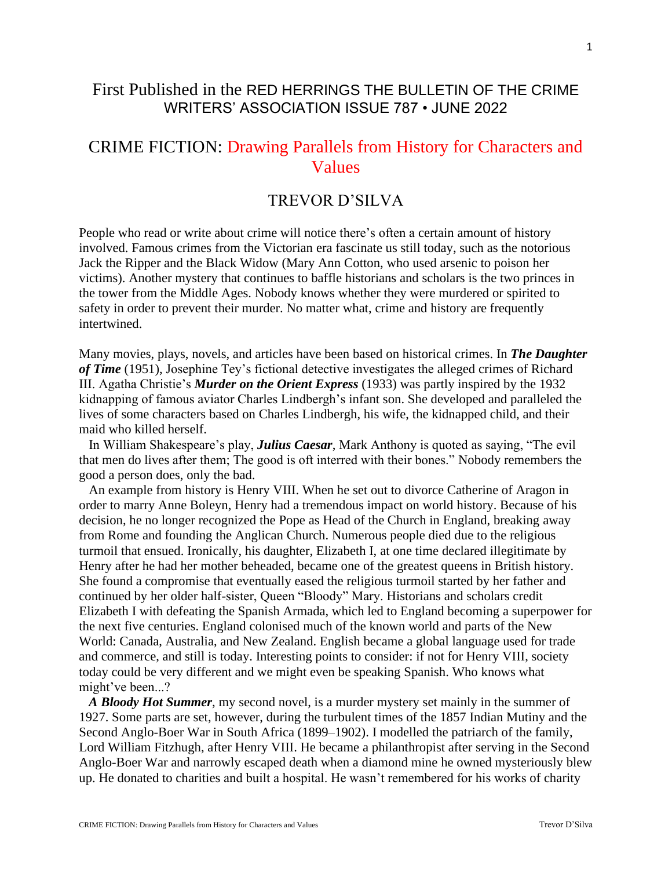## First Published in the RED HERRINGS THE BULLETIN OF THE CRIME WRITERS' ASSOCIATION ISSUE 787 • JUNE 2022

## CRIME FICTION: Drawing Parallels from History for Characters and Values

## TREVOR D'SILVA

People who read or write about crime will notice there's often a certain amount of history involved. Famous crimes from the Victorian era fascinate us still today, such as the notorious Jack the Ripper and the Black Widow (Mary Ann Cotton, who used arsenic to poison her victims). Another mystery that continues to baffle historians and scholars is the two princes in the tower from the Middle Ages. Nobody knows whether they were murdered or spirited to safety in order to prevent their murder. No matter what, crime and history are frequently intertwined.

Many movies, plays, novels, and articles have been based on historical crimes. In *The Daughter of Time* (1951), Josephine Tey's fictional detective investigates the alleged crimes of Richard III. Agatha Christie's *Murder on the Orient Express* (1933) was partly inspired by the 1932 kidnapping of famous aviator Charles Lindbergh's infant son. She developed and paralleled the lives of some characters based on Charles Lindbergh, his wife, the kidnapped child, and their maid who killed herself.

 In William Shakespeare's play, *Julius Caesar*, Mark Anthony is quoted as saying, "The evil that men do lives after them; The good is oft interred with their bones." Nobody remembers the good a person does, only the bad.

 An example from history is Henry VIII. When he set out to divorce Catherine of Aragon in order to marry Anne Boleyn, Henry had a tremendous impact on world history. Because of his decision, he no longer recognized the Pope as Head of the Church in England, breaking away from Rome and founding the Anglican Church. Numerous people died due to the religious turmoil that ensued. Ironically, his daughter, Elizabeth I, at one time declared illegitimate by Henry after he had her mother beheaded, became one of the greatest queens in British history. She found a compromise that eventually eased the religious turmoil started by her father and continued by her older half-sister, Queen "Bloody" Mary. Historians and scholars credit Elizabeth I with defeating the Spanish Armada, which led to England becoming a superpower for the next five centuries. England colonised much of the known world and parts of the New World: Canada, Australia, and New Zealand. English became a global language used for trade and commerce, and still is today. Interesting points to consider: if not for Henry VIII, society today could be very different and we might even be speaking Spanish. Who knows what might've been...?

 *A Bloody Hot Summer*, my second novel, is a murder mystery set mainly in the summer of 1927. Some parts are set, however, during the turbulent times of the 1857 Indian Mutiny and the Second Anglo-Boer War in South Africa (1899–1902). I modelled the patriarch of the family, Lord William Fitzhugh, after Henry VIII. He became a philanthropist after serving in the Second Anglo-Boer War and narrowly escaped death when a diamond mine he owned mysteriously blew up. He donated to charities and built a hospital. He wasn't remembered for his works of charity